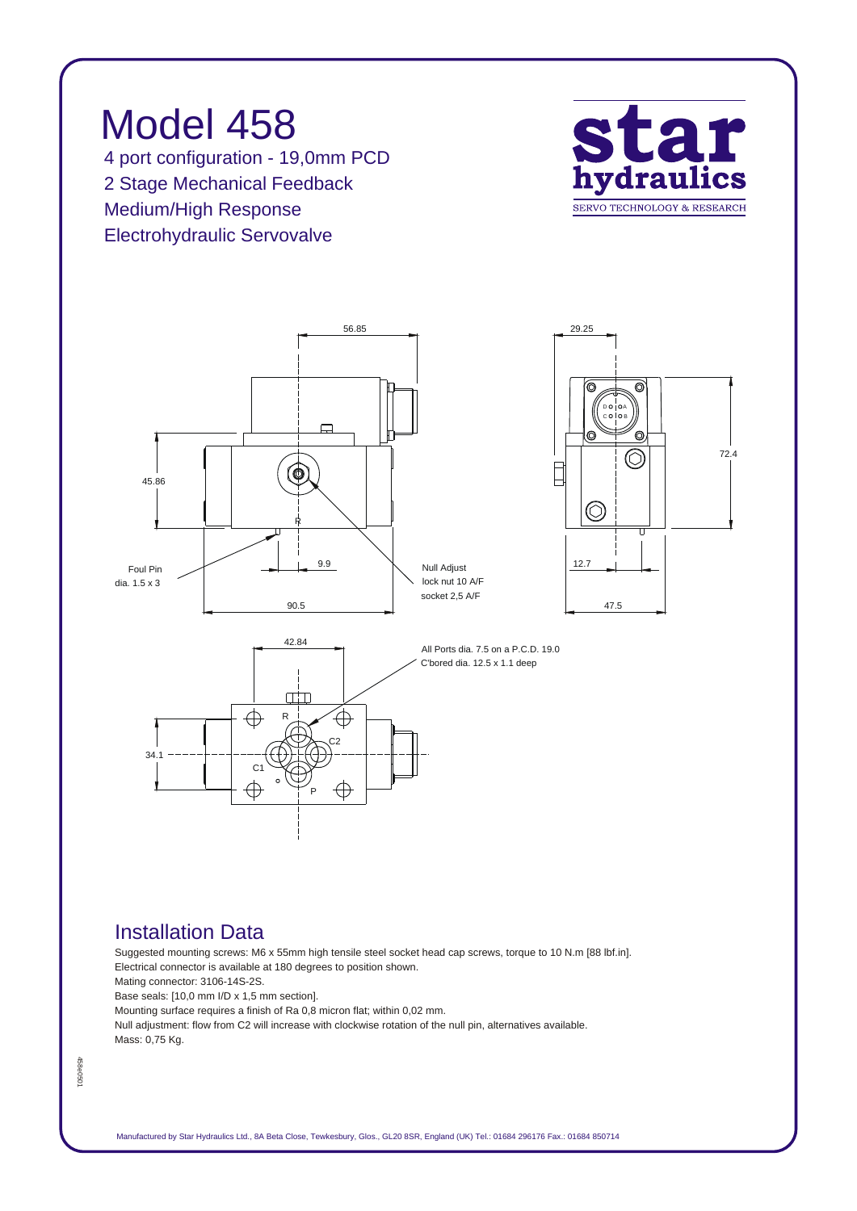

## *Installation Data*

*Suggested mounting screws: M6 x 55mm high tensile steel socket head cap screws, torque to 10 N.m [88 lbf.in]. Electrical connector is available at 180 degrees to position shown. Mating connector: 3106-14S-2S. Base seals: [10,0 mm I/D x 1,5 mm section]. Mounting surface requires a finish of Ra 0,8 micron flat; within 0,02 mm. Null adjustment: flow from C2 will increase with clockwise rotation of the null pin, alternatives available. Mass: 0,75 Kg.*

458e0501 *458e0501*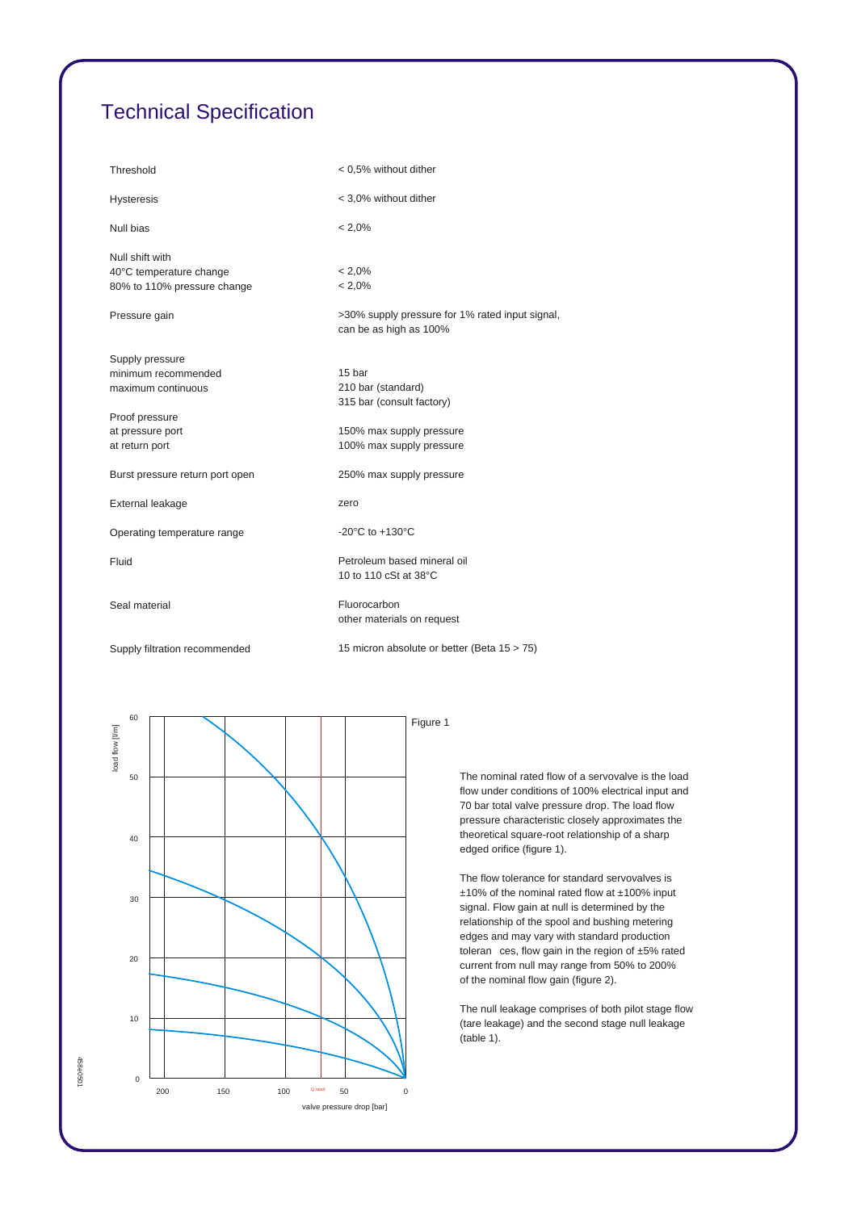## *Technical Specification*

| Threshold                       | < 0,5% without dither                                                     |  |
|---------------------------------|---------------------------------------------------------------------------|--|
| <b>Hysteresis</b>               | < 3,0% without dither                                                     |  |
| Null bias                       | $< 2.0\%$                                                                 |  |
| Null shift with                 |                                                                           |  |
| 40°C temperature change         | $< 2.0\%$                                                                 |  |
| 80% to 110% pressure change     | $< 2.0\%$                                                                 |  |
| Pressure gain                   | >30% supply pressure for 1% rated input signal,<br>can be as high as 100% |  |
| Supply pressure                 |                                                                           |  |
| minimum recommended             | 15 bar                                                                    |  |
| maximum continuous              | 210 bar (standard)                                                        |  |
|                                 | 315 bar (consult factory)                                                 |  |
| Proof pressure                  |                                                                           |  |
| at pressure port                | 150% max supply pressure                                                  |  |
| at return port                  | 100% max supply pressure                                                  |  |
| Burst pressure return port open | 250% max supply pressure                                                  |  |
| External leakage                | zero                                                                      |  |
| Operating temperature range     | -20 $^{\circ}$ C to +130 $^{\circ}$ C                                     |  |
| Fluid                           | Petroleum based mineral oil<br>10 to 110 cSt at 38°C                      |  |
| Seal material                   | Fluorocarbon<br>other materials on request                                |  |
| Supply filtration recommended   | 15 micron absolute or better (Beta 15 > 75)                               |  |



*458e0501*

458e0501

*The nominal rated flow of a servovalve is the load flow under conditions of 100% electrical input and 70 bar total valve pressure drop. The load flow pressure characteristic closely approximates the theoretical square-root relationship of a sharp edged orifice (figure 1).*

*The flow tolerance for standard servovalves is ±10% of the nominal rated flow at ±100% input signal. Flow gain at null is determined by the relationship of the spool and bushing metering edges and may vary with standard production toleran ces, flow gain in the region of ±5% rated current from null may range from 50% to 200% of the nominal flow gain (figure 2).*

*The null leakage comprises of both pilot stage flow (tare leakage) and the second stage null leakage (table 1).*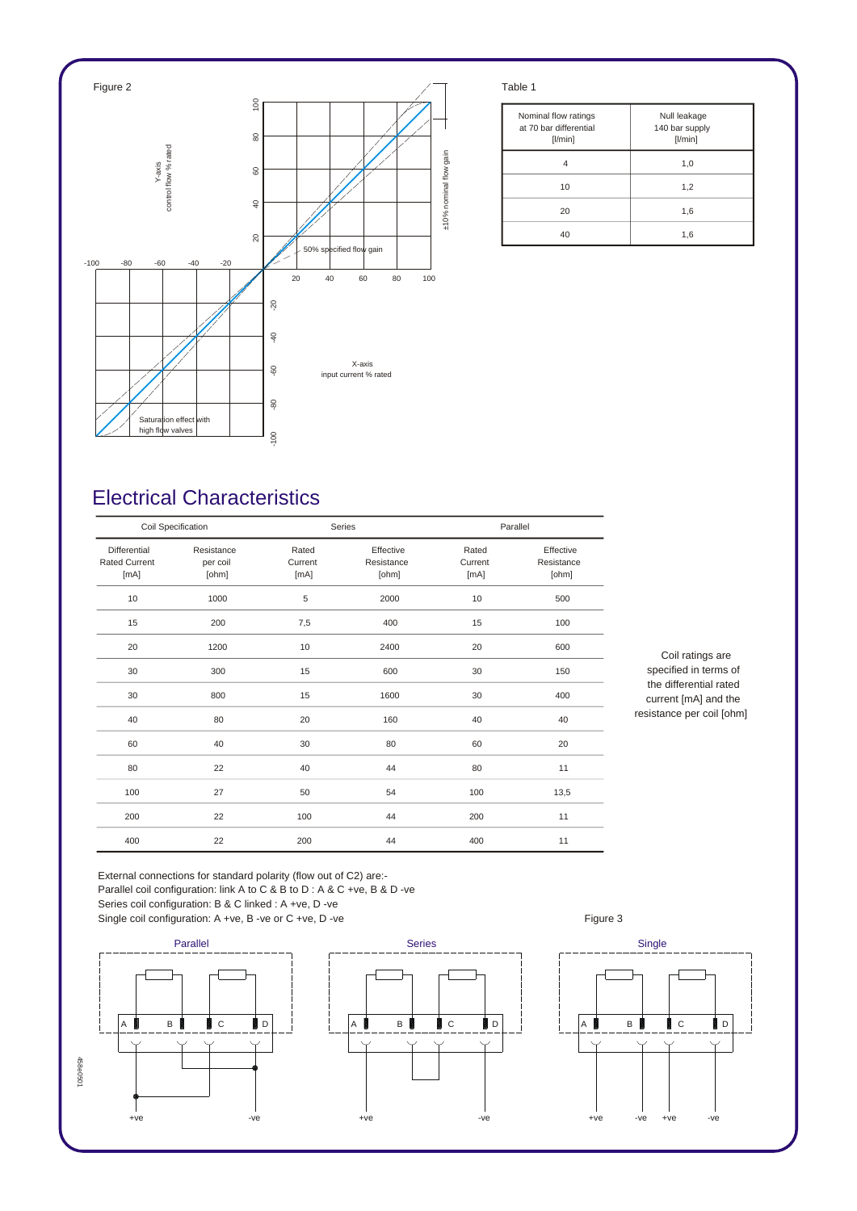

| Nominal flow ratings<br>at 70 bar differential<br>[1/min] | Null leakage<br>140 bar supply<br>$[$ l/min $]$ |
|-----------------------------------------------------------|-------------------------------------------------|
|                                                           | 1,0                                             |
| 10                                                        | 1,2                                             |
| 20                                                        | 1,6                                             |
| 40                                                        | 1,6                                             |

## *Electrical Characteristics*

| Coil Specification                           |                                 | Series                   |                                  | Parallel                 |                                  |
|----------------------------------------------|---------------------------------|--------------------------|----------------------------------|--------------------------|----------------------------------|
| Differential<br><b>Rated Current</b><br>[mA] | Resistance<br>per coil<br>[ohm] | Rated<br>Current<br>[mA] | Effective<br>Resistance<br>[ohm] | Rated<br>Current<br>[mA] | Effective<br>Resistance<br>[ohm] |
| 10                                           | 1000                            | 5                        | 2000                             | 10                       | 500                              |
| 15                                           | 200                             | 7,5                      | 400                              | 15                       | 100                              |
| 20                                           | 1200                            | 10                       | 2400                             | 20                       | 600                              |
| 30                                           | 300                             | 15                       | 600                              | 30                       | 150                              |
| 30                                           | 800                             | 15                       | 1600                             | 30                       | 400                              |
| 40                                           | 80                              | 20                       | 160                              | 40                       | 40                               |
| 60                                           | 40                              | 30                       | 80                               | 60                       | 20                               |
| 80                                           | 22                              | 40                       | 44                               | 80                       | 11                               |
| 100                                          | 27                              | 50                       | 54                               | 100                      | 13,5                             |
| 200                                          | 22                              | 100                      | 44                               | 200                      | 11                               |
| 400                                          | 22                              | 200                      | 44                               | 400                      | 11                               |

*Coil ratings are specified in terms of the differential rated current [mA] and the resistance per coil [ohm]*

*External connections for standard polarity (flow out of C2) are:- Parallel coil configuration: link A to C & B to D : A & C +ve, B & D -ve Series coil configuration: B & C linked : A +ve, D -ve* Single coil configuration: A +ve, B -ve or C +ve, D -ve **Figure 3** Figure 3